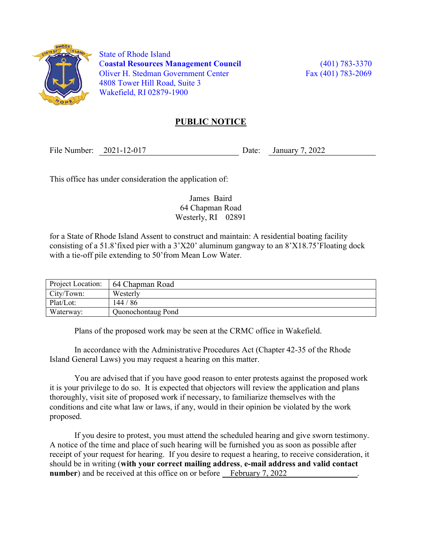

 State of Rhode Island Coastal Resources Management Council (401) 783-3370 Oliver H. Stedman Government Center Fax (401) 783-2069 4808 Tower Hill Road, Suite 3 Wakefield, RI 02879-1900

## PUBLIC NOTICE

File Number: 2021-12-017 Date: January 7, 2022

This office has under consideration the application of:

## James Baird 64 Chapman Road Westerly, RI 02891

for a State of Rhode Island Assent to construct and maintain: A residential boating facility consisting of a 51.8'fixed pier with a 3'X20' aluminum gangway to an 8'X18.75'Floating dock with a tie-off pile extending to 50'from Mean Low Water.

| <b>Project Location:</b> | 64 Chapman Road    |
|--------------------------|--------------------|
| City/Town:               | Westerly           |
| Plat/Lot:                | 144 / 86           |
| Waterway:                | Quonochontaug Pond |

Plans of the proposed work may be seen at the CRMC office in Wakefield.

In accordance with the Administrative Procedures Act (Chapter 42-35 of the Rhode Island General Laws) you may request a hearing on this matter.

You are advised that if you have good reason to enter protests against the proposed work it is your privilege to do so. It is expected that objectors will review the application and plans thoroughly, visit site of proposed work if necessary, to familiarize themselves with the conditions and cite what law or laws, if any, would in their opinion be violated by the work proposed.

If you desire to protest, you must attend the scheduled hearing and give sworn testimony. A notice of the time and place of such hearing will be furnished you as soon as possible after receipt of your request for hearing. If you desire to request a hearing, to receive consideration, it should be in writing (with your correct mailing address, e-mail address and valid contact number) and be received at this office on or before February 7, 2022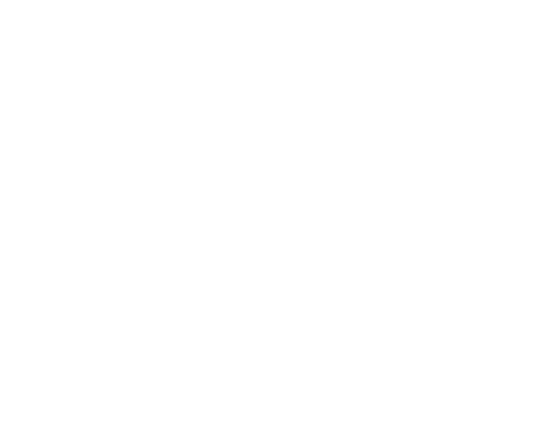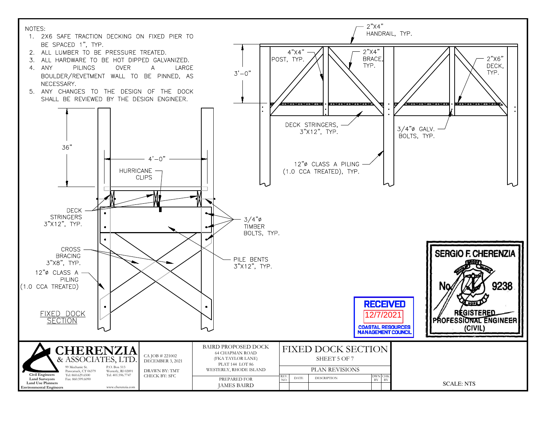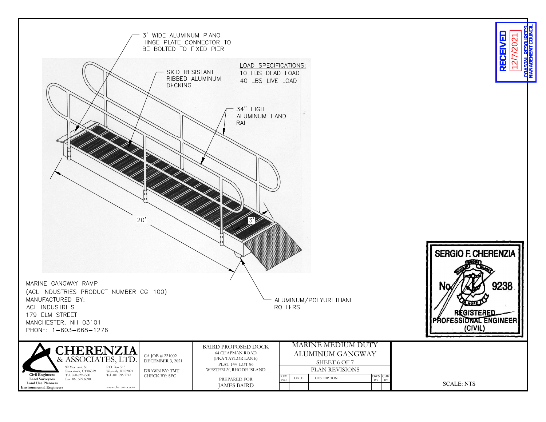